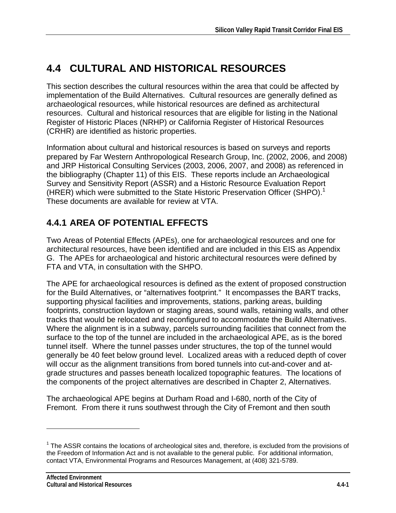# **4.4 CULTURAL AND HISTORICAL RESOURCES**

This section describes the cultural resources within the area that could be affected by implementation of the Build Alternatives. Cultural resources are generally defined as archaeological resources, while historical resources are defined as architectural resources. Cultural and historical resources that are eligible for listing in the National Register of Historic Places (NRHP) or California Register of Historical Resources (CRHR) are identified as historic properties.

Information about cultural and historical resources is based on surveys and reports prepared by Far Western Anthropological Research Group, Inc. (2002, 2006, and 2008) and JRP Historical Consulting Services (2003, 2006, 2007, and 2008) as referenced in the bibliography (Chapter 11) of this EIS. These reports include an Archaeological Survey and Sensitivity Report (ASSR) and a Historic Resource Evaluation Report (HRER) which were submitted to the State Historic Preservation Officer (SHPO).<sup>1</sup> These documents are available for review at VTA.

# **4.4.1 AREA OF POTENTIAL EFFECTS**

Two Areas of Potential Effects (APEs), one for archaeological resources and one for architectural resources, have been identified and are included in this EIS as Appendix G. The APEs for archaeological and historic architectural resources were defined by FTA and VTA, in consultation with the SHPO.

The APE for archaeological resources is defined as the extent of proposed construction for the Build Alternatives, or "alternatives footprint." It encompasses the BART tracks, supporting physical facilities and improvements, stations, parking areas, building footprints, construction laydown or staging areas, sound walls, retaining walls, and other tracks that would be relocated and reconfigured to accommodate the Build Alternatives. Where the alignment is in a subway, parcels surrounding facilities that connect from the surface to the top of the tunnel are included in the archaeological APE, as is the bored tunnel itself. Where the tunnel passes under structures, the top of the tunnel would generally be 40 feet below ground level. Localized areas with a reduced depth of cover will occur as the alignment transitions from bored tunnels into cut-and-cover and atgrade structures and passes beneath localized topographic features. The locations of the components of the project alternatives are described in Chapter 2, Alternatives.

The archaeological APE begins at Durham Road and I-680, north of the City of Fremont. From there it runs southwest through the City of Fremont and then south

 $\overline{a}$ 

 $1$  The ASSR contains the locations of archeological sites and, therefore, is excluded from the provisions of the Freedom of Information Act and is not available to the general public. For additional information, contact VTA, Environmental Programs and Resources Management, at (408) 321-5789.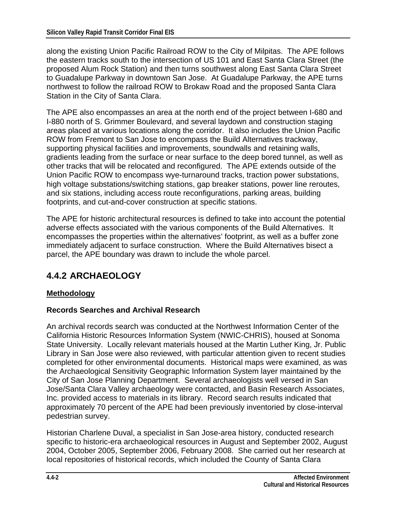along the existing Union Pacific Railroad ROW to the City of Milpitas. The APE follows the eastern tracks south to the intersection of US 101 and East Santa Clara Street (the proposed Alum Rock Station) and then turns southwest along East Santa Clara Street to Guadalupe Parkway in downtown San Jose. At Guadalupe Parkway, the APE turns northwest to follow the railroad ROW to Brokaw Road and the proposed Santa Clara Station in the City of Santa Clara.

The APE also encompasses an area at the north end of the project between I-680 and I-880 north of S. Grimmer Boulevard, and several laydown and construction staging areas placed at various locations along the corridor. It also includes the Union Pacific ROW from Fremont to San Jose to encompass the Build Alternatives trackway, supporting physical facilities and improvements, soundwalls and retaining walls, gradients leading from the surface or near surface to the deep bored tunnel, as well as other tracks that will be relocated and reconfigured. The APE extends outside of the Union Pacific ROW to encompass wye-turnaround tracks, traction power substations, high voltage substations/switching stations, gap breaker stations, power line reroutes, and six stations, including access route reconfigurations, parking areas, building footprints, and cut-and-cover construction at specific stations.

The APE for historic architectural resources is defined to take into account the potential adverse effects associated with the various components of the Build Alternatives. It encompasses the properties within the alternatives' footprint, as well as a buffer zone immediately adjacent to surface construction. Where the Build Alternatives bisect a parcel, the APE boundary was drawn to include the whole parcel.

# **4.4.2 ARCHAEOLOGY**

### **Methodology**

#### **Records Searches and Archival Research**

An archival records search was conducted at the Northwest Information Center of the California Historic Resources Information System (NWIC-CHRIS), housed at Sonoma State University. Locally relevant materials housed at the Martin Luther King, Jr. Public Library in San Jose were also reviewed, with particular attention given to recent studies completed for other environmental documents. Historical maps were examined, as was the Archaeological Sensitivity Geographic Information System layer maintained by the City of San Jose Planning Department. Several archaeologists well versed in San Jose/Santa Clara Valley archaeology were contacted, and Basin Research Associates, Inc. provided access to materials in its library. Record search results indicated that approximately 70 percent of the APE had been previously inventoried by close-interval pedestrian survey.

Historian Charlene Duval, a specialist in San Jose-area history, conducted research specific to historic-era archaeological resources in August and September 2002, August 2004, October 2005, September 2006, February 2008. She carried out her research at local repositories of historical records, which included the County of Santa Clara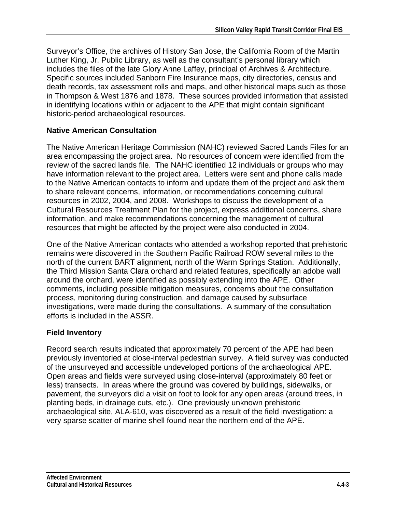Surveyor's Office, the archives of History San Jose, the California Room of the Martin Luther King, Jr. Public Library, as well as the consultant's personal library which includes the files of the late Glory Anne Laffey, principal of Archives & Architecture. Specific sources included Sanborn Fire Insurance maps, city directories, census and death records, tax assessment rolls and maps, and other historical maps such as those in Thompson & West 1876 and 1878. These sources provided information that assisted in identifying locations within or adjacent to the APE that might contain significant historic-period archaeological resources.

#### **Native American Consultation**

The Native American Heritage Commission (NAHC) reviewed Sacred Lands Files for an area encompassing the project area. No resources of concern were identified from the review of the sacred lands file. The NAHC identified 12 individuals or groups who may have information relevant to the project area. Letters were sent and phone calls made to the Native American contacts to inform and update them of the project and ask them to share relevant concerns, information, or recommendations concerning cultural resources in 2002, 2004, and 2008. Workshops to discuss the development of a Cultural Resources Treatment Plan for the project, express additional concerns, share information, and make recommendations concerning the management of cultural resources that might be affected by the project were also conducted in 2004.

One of the Native American contacts who attended a workshop reported that prehistoric remains were discovered in the Southern Pacific Railroad ROW several miles to the north of the current BART alignment, north of the Warm Springs Station. Additionally, the Third Mission Santa Clara orchard and related features, specifically an adobe wall around the orchard, were identified as possibly extending into the APE. Other comments, including possible mitigation measures, concerns about the consultation process, monitoring during construction, and damage caused by subsurface investigations, were made during the consultations. A summary of the consultation efforts is included in the ASSR.

#### **Field Inventory**

Record search results indicated that approximately 70 percent of the APE had been previously inventoried at close-interval pedestrian survey. A field survey was conducted of the unsurveyed and accessible undeveloped portions of the archaeological APE. Open areas and fields were surveyed using close-interval (approximately 80 feet or less) transects. In areas where the ground was covered by buildings, sidewalks, or pavement, the surveyors did a visit on foot to look for any open areas (around trees, in planting beds, in drainage cuts, etc.). One previously unknown prehistoric archaeological site, ALA-610, was discovered as a result of the field investigation: a very sparse scatter of marine shell found near the northern end of the APE.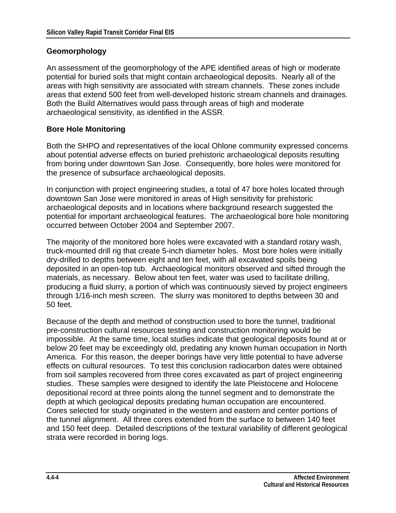#### **Geomorphology**

An assessment of the geomorphology of the APE identified areas of high or moderate potential for buried soils that might contain archaeological deposits. Nearly all of the areas with high sensitivity are associated with stream channels. These zones include areas that extend 500 feet from well-developed historic stream channels and drainages. Both the Build Alternatives would pass through areas of high and moderate archaeological sensitivity, as identified in the ASSR.

#### **Bore Hole Monitoring**

Both the SHPO and representatives of the local Ohlone community expressed concerns about potential adverse effects on buried prehistoric archaeological deposits resulting from boring under downtown San Jose. Consequently, bore holes were monitored for the presence of subsurface archaeological deposits.

In conjunction with project engineering studies, a total of 47 bore holes located through downtown San Jose were monitored in areas of High sensitivity for prehistoric archaeological deposits and in locations where background research suggested the potential for important archaeological features. The archaeological bore hole monitoring occurred between October 2004 and September 2007.

The majority of the monitored bore holes were excavated with a standard rotary wash, truck-mounted drill rig that create 5-inch diameter holes. Most bore holes were initially dry-drilled to depths between eight and ten feet, with all excavated spoils being deposited in an open-top tub. Archaeological monitors observed and sifted through the materials, as necessary. Below about ten feet, water was used to facilitate drilling, producing a fluid slurry, a portion of which was continuously sieved by project engineers through 1/16-inch mesh screen. The slurry was monitored to depths between 30 and 50 feet.

Because of the depth and method of construction used to bore the tunnel, traditional pre-construction cultural resources testing and construction monitoring would be impossible. At the same time, local studies indicate that geological deposits found at or below 20 feet may be exceedingly old, predating any known human occupation in North America. For this reason, the deeper borings have very little potential to have adverse effects on cultural resources. To test this conclusion radiocarbon dates were obtained from soil samples recovered from three cores excavated as part of project engineering studies. These samples were designed to identify the late Pleistocene and Holocene depositional record at three points along the tunnel segment and to demonstrate the depth at which geological deposits predating human occupation are encountered. Cores selected for study originated in the western and eastern and center portions of the tunnel alignment. All three cores extended from the surface to between 140 feet and 150 feet deep. Detailed descriptions of the textural variability of different geological strata were recorded in boring logs.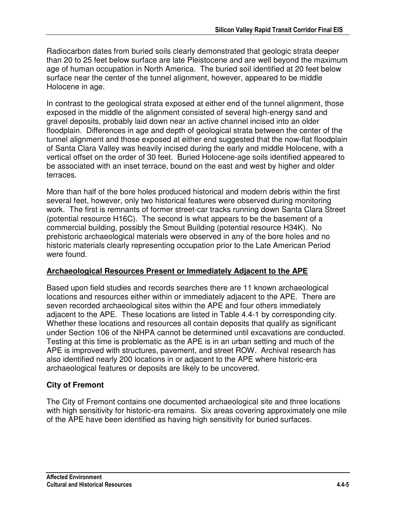Radiocarbon dates from buried soils clearly demonstrated that geologic strata deeper than 20 to 25 feet below surface are late Pleistocene and are well beyond the maximum age of human occupation in North America. The buried soil identified at 20 feet below surface near the center of the tunnel alignment, however, appeared to be middle Holocene in age.

In contrast to the geological strata exposed at either end of the tunnel alignment, those exposed in the middle of the alignment consisted of several high-energy sand and gravel deposits, probably laid down near an active channel incised into an older floodplain. Differences in age and depth of geological strata between the center of the tunnel alignment and those exposed at either end suggested that the now-flat floodplain of Santa Clara Valley was heavily incised during the early and middle Holocene, with a vertical offset on the order of 30 feet. Buried Holocene-age soils identified appeared to be associated with an inset terrace, bound on the east and west by higher and older terraces.

More than half of the bore holes produced historical and modern debris within the first several feet, however, only two historical features were observed during monitoring work. The first is remnants of former street-car tracks running down Santa Clara Street (potential resource H16C). The second is what appears to be the basement of a commercial building, possibly the Smout Building (potential resource H34K). No prehistoric archaeological materials were observed in any of the bore holes and no historic materials clearly representing occupation prior to the Late American Period were found.

#### **Archaeological Resources Present or Immediately Adjacent to the APE**

Based upon field studies and records searches there are 11 known archaeological locations and resources either within or immediately adjacent to the APE. There are seven recorded archaeological sites within the APE and four others immediately adjacent to the APE. These locations are listed in Table 4.4-1 by corresponding city. Whether these locations and resources all contain deposits that qualify as significant under Section 106 of the NHPA cannot be determined until excavations are conducted. Testing at this time is problematic as the APE is in an urban setting and much of the APE is improved with structures, pavement, and street ROW. Archival research has also identified nearly 200 locations in or adjacent to the APE where historic-era archaeological features or deposits are likely to be uncovered.

#### **City of Fremont**

The City of Fremont contains one documented archaeological site and three locations with high sensitivity for historic-era remains. Six areas covering approximately one mile of the APE have been identified as having high sensitivity for buried surfaces.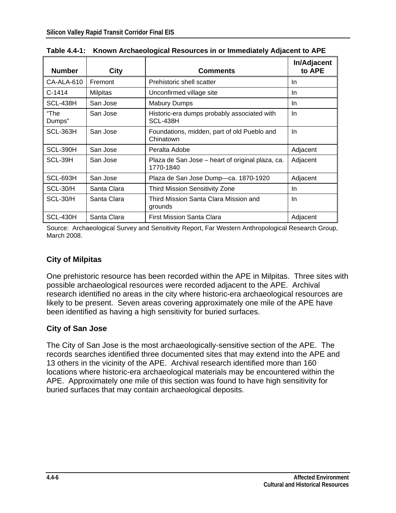| <b>Number</b>  | <b>City</b>     | <b>Comments</b>                                               | In/Adjacent<br>to APE |
|----------------|-----------------|---------------------------------------------------------------|-----------------------|
| CA-ALA-610     | Fremont         | Prehistoric shell scatter                                     | In.                   |
| $C-1414$       | <b>Milpitas</b> | Unconfirmed village site                                      | In.                   |
| SCL-438H       | San Jose        | <b>Mabury Dumps</b>                                           | In.                   |
| "The<br>Dumps" | San Jose        | Historic-era dumps probably associated with<br>SCL-438H       | In                    |
| SCL-363H       | San Jose        | Foundations, midden, part of old Pueblo and<br>Chinatown      | In.                   |
| SCL-390H       | San Jose        | Peralta Adobe                                                 | Adjacent              |
| SCL-39H        | San Jose        | Plaza de San Jose – heart of original plaza, ca.<br>1770-1840 | Adjacent              |
| SCL-693H       | San Jose        | Plaza de San Jose Dump-ca. 1870-1920                          | Adjacent              |
| SCL-30/H       | Santa Clara     | <b>Third Mission Sensitivity Zone</b>                         | In.                   |
| SCL-30/H       | Santa Clara     | Third Mission Santa Clara Mission and<br>grounds              | In.                   |
| SCL-430H       | Santa Clara     | <b>First Mission Santa Clara</b>                              | Adjacent              |

**Table 4.4-1: Known Archaeological Resources in or Immediately Adjacent to APE** 

Source: Archaeological Survey and Sensitivity Report, Far Western Anthropological Research Group, March 2008.

### **City of Milpitas**

One prehistoric resource has been recorded within the APE in Milpitas. Three sites with possible archaeological resources were recorded adjacent to the APE. Archival research identified no areas in the city where historic-era archaeological resources are likely to be present. Seven areas covering approximately one mile of the APE have been identified as having a high sensitivity for buried surfaces.

#### **City of San Jose**

The City of San Jose is the most archaeologically-sensitive section of the APE. The records searches identified three documented sites that may extend into the APE and 13 others in the vicinity of the APE. Archival research identified more than 160 locations where historic-era archaeological materials may be encountered within the APE. Approximately one mile of this section was found to have high sensitivity for buried surfaces that may contain archaeological deposits.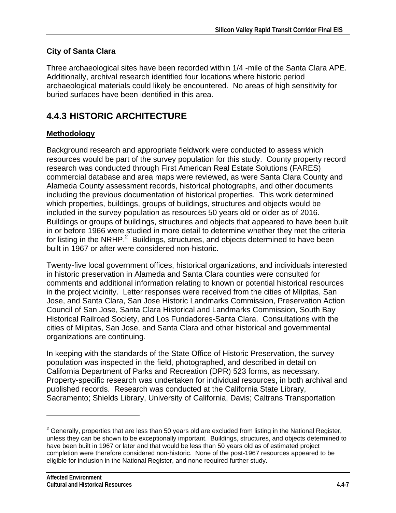### **City of Santa Clara**

Three archaeological sites have been recorded within 1/4 -mile of the Santa Clara APE. Additionally, archival research identified four locations where historic period archaeological materials could likely be encountered. No areas of high sensitivity for buried surfaces have been identified in this area.

# **4.4.3 HISTORIC ARCHITECTURE**

## **Methodology**

Background research and appropriate fieldwork were conducted to assess which resources would be part of the survey population for this study. County property record research was conducted through First American Real Estate Solutions (FARES) commercial database and area maps were reviewed, as were Santa Clara County and Alameda County assessment records, historical photographs, and other documents including the previous documentation of historical properties. This work determined which properties, buildings, groups of buildings, structures and objects would be included in the survey population as resources 50 years old or older as of 2016. Buildings or groups of buildings, structures and objects that appeared to have been built in or before 1966 were studied in more detail to determine whether they met the criteria for listing in the NRHP. $^2$  Buildings, structures, and objects determined to have been built in 1967 or after were considered non-historic.

Twenty-five local government offices, historical organizations, and individuals interested in historic preservation in Alameda and Santa Clara counties were consulted for comments and additional information relating to known or potential historical resources in the project vicinity. Letter responses were received from the cities of Milpitas, San Jose, and Santa Clara, San Jose Historic Landmarks Commission, Preservation Action Council of San Jose, Santa Clara Historical and Landmarks Commission, South Bay Historical Railroad Society, and Los Fundadores-Santa Clara. Consultations with the cities of Milpitas, San Jose, and Santa Clara and other historical and governmental organizations are continuing.

In keeping with the standards of the State Office of Historic Preservation, the survey population was inspected in the field, photographed, and described in detail on California Department of Parks and Recreation (DPR) 523 forms, as necessary. Property-specific research was undertaken for individual resources, in both archival and published records. Research was conducted at the California State Library, Sacramento; Shields Library, University of California, Davis; Caltrans Transportation

 $\overline{a}$ 

 $2$  Generally, properties that are less than 50 years old are excluded from listing in the National Register, unless they can be shown to be exceptionally important. Buildings, structures, and objects determined to have been built in 1967 or later and that would be less than 50 years old as of estimated project completion were therefore considered non-historic. None of the post-1967 resources appeared to be eligible for inclusion in the National Register, and none required further study.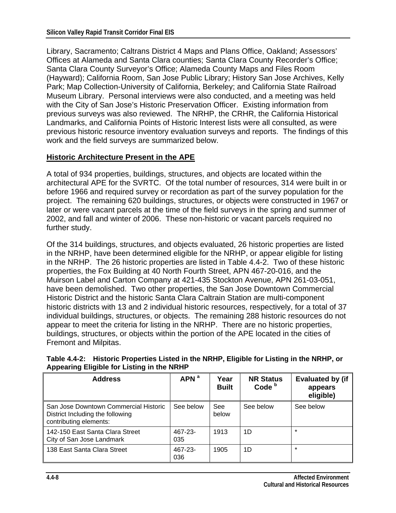Library, Sacramento; Caltrans District 4 Maps and Plans Office, Oakland; Assessors' Offices at Alameda and Santa Clara counties; Santa Clara County Recorder's Office; Santa Clara County Surveyor's Office; Alameda County Maps and Files Room (Hayward); California Room, San Jose Public Library; History San Jose Archives, Kelly Park; Map Collection-University of California, Berkeley; and California State Railroad Museum Library. Personal interviews were also conducted, and a meeting was held with the City of San Jose's Historic Preservation Officer. Existing information from previous surveys was also reviewed. The NRHP, the CRHR, the California Historical Landmarks, and California Points of Historic Interest lists were all consulted, as were previous historic resource inventory evaluation surveys and reports. The findings of this work and the field surveys are summarized below.

#### **Historic Architecture Present in the APE**

A total of 934 properties, buildings, structures, and objects are located within the architectural APE for the SVRTC. Of the total number of resources, 314 were built in or before 1966 and required survey or recordation as part of the survey population for the project. The remaining 620 buildings, structures, or objects were constructed in 1967 or later or were vacant parcels at the time of the field surveys in the spring and summer of 2002, and fall and winter of 2006. These non-historic or vacant parcels required no further study.

Of the 314 buildings, structures, and objects evaluated, 26 historic properties are listed in the NRHP, have been determined eligible for the NRHP, or appear eligible for listing in the NRHP. The 26 historic properties are listed in Table 4.4-2. Two of these historic properties, the Fox Building at 40 North Fourth Street, APN 467-20-016, and the Muirson Label and Carton Company at 421-435 Stockton Avenue, APN 261-03-051, have been demolished. Two other properties, the San Jose Downtown Commercial Historic District and the historic Santa Clara Caltrain Station are multi-component historic districts with 13 and 2 individual historic resources, respectively, for a total of 37 individual buildings, structures, or objects. The remaining 288 historic resources do not appear to meet the criteria for listing in the NRHP. There are no historic properties, buildings, structures, or objects within the portion of the APE located in the cities of Fremont and Milpitas.

| <b>Address</b>                                                                                      | APN <sup>a</sup> | Year<br><b>Built</b> | <b>NR Status</b><br>Code <sup>b</sup> | <b>Evaluated by (if</b><br>appears<br>eligible) |
|-----------------------------------------------------------------------------------------------------|------------------|----------------------|---------------------------------------|-------------------------------------------------|
| San Jose Downtown Commercial Historic<br>District Including the following<br>contributing elements: | See below        | <b>See</b><br>below  | See below                             | See below                                       |
| 142-150 East Santa Clara Street<br>City of San Jose Landmark                                        | 467-23-<br>035   | 1913                 | 1D                                    | $\star$                                         |
| 138 East Santa Clara Street                                                                         | 467-23-<br>036   | 1905                 | 1D                                    | $\star$                                         |

**Table 4.4-2: Historic Properties Listed in the NRHP, Eligible for Listing in the NRHP, or Appearing Eligible for Listing in the NRHP**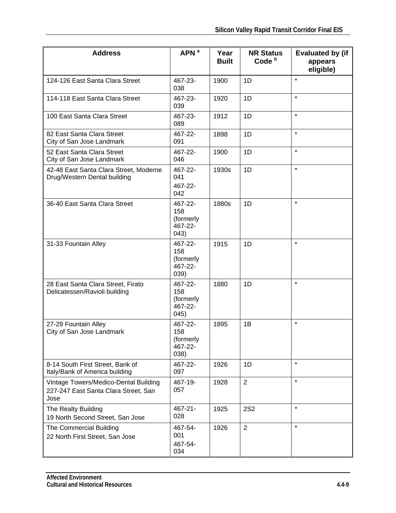| <b>Address</b>                                                                        | APN <sup>a</sup>                                | Year<br><b>Built</b> | <b>NR Status</b><br>Code <sup>b</sup> | <b>Evaluated by (if</b><br>appears<br>eligible) |
|---------------------------------------------------------------------------------------|-------------------------------------------------|----------------------|---------------------------------------|-------------------------------------------------|
| 124-126 East Santa Clara Street                                                       | 467-23-<br>038                                  | 1900                 | 1D                                    | $\star$                                         |
| 114-118 East Santa Clara Street                                                       | 467-23-<br>039                                  | 1920                 | 1D                                    | $\star$                                         |
| 100 East Santa Clara Street                                                           | 467-23-<br>089                                  | 1912                 | 1D                                    | $\star$                                         |
| 82 East Santa Clara Street<br>City of San Jose Landmark                               | 467-22-<br>091                                  | 1898                 | 1D                                    | $\star$                                         |
| 52 East Santa Clara Street<br>City of San Jose Landmark                               | 467-22-<br>046                                  | 1900                 | 1D                                    | $\star$                                         |
| 42-48 East Santa Clara Street, Moderne<br>Drug/Western Dental building                | 467-22-<br>041<br>467-22-<br>042                | 1930s                | 1D                                    | $\star$                                         |
| 36-40 East Santa Clara Street                                                         | 467-22-<br>158<br>(formerly<br>467-22-<br>043)  | 1880s                | 1D                                    | $\star$                                         |
| 31-33 Fountain Alley                                                                  | 467-22-<br>158<br>(formerly<br>467-22-<br>039)  | 1915                 | 1D                                    | $\star$                                         |
| 28 East Santa Clara Street, Firato<br>Delicatessen/Ravioli building                   | 467-22-<br>158<br>(formerly<br>467-22-<br>(045) | 1880                 | 1D                                    | $\star$                                         |
| 27-29 Fountain Alley<br>City of San Jose Landmark                                     | 467-22-<br>158<br>(formerly<br>467-22-<br>(038) | 1895                 | 1B                                    | $\star$                                         |
| 8-14 South First Street, Bank of<br>Italy/Bank of America building                    | 467-22-<br>097                                  | 1926                 | 1D                                    | $\star$                                         |
| Vintage Towers/Medico-Dental Building<br>227-247 East Santa Clara Street, San<br>Jose | 467-19-<br>057                                  | 1928                 | $\overline{2}$                        | $\star$                                         |
| The Realty Building<br>19 North Second Street, San Jose                               | 467-21-<br>028                                  | 1925                 | <b>2S2</b>                            | $\star$                                         |
| The Commercial Building<br>22 North First Street, San Jose                            | 467-54-<br>001<br>467-54-<br>034                | 1926                 | $\overline{2}$                        | $\star$                                         |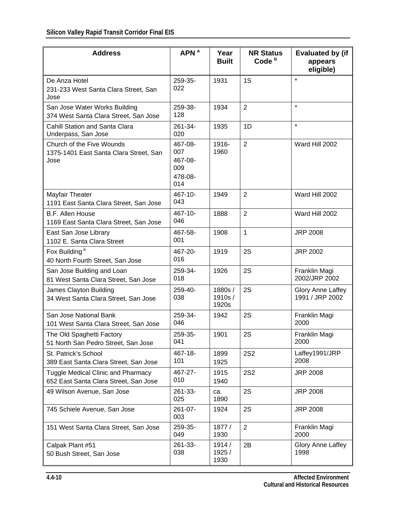| <b>Address</b>                                                                     | APN <sup>a</sup>                                   | Year<br><b>Built</b>      | <b>NR Status</b><br>Code <sup>b</sup> | <b>Evaluated by (if</b><br>appears<br>eligible) |
|------------------------------------------------------------------------------------|----------------------------------------------------|---------------------------|---------------------------------------|-------------------------------------------------|
| De Anza Hotel<br>231-233 West Santa Clara Street, San<br>Jose                      | 259-35-<br>022                                     | 1931                      | 1S                                    | $\star$                                         |
| San Jose Water Works Building<br>374 West Santa Clara Street, San Jose             | 259-38-<br>128                                     | 1934                      | 2                                     | $\star$                                         |
| Cahill Station and Santa Clara<br>Underpass, San Jose                              | 261-34-<br>020                                     | 1935                      | 1D                                    | $\star$                                         |
| Church of the Five Wounds<br>1375-1401 East Santa Clara Street, San<br>Jose        | 467-08-<br>007<br>467-08-<br>009<br>478-08-<br>014 | 1916-<br>1960             | $\overline{2}$                        | Ward Hill 2002                                  |
| Mayfair Theater<br>1191 East Santa Clara Street, San Jose                          | 467-10-<br>043                                     | 1949                      | 2                                     | Ward Hill 2002                                  |
| <b>B.F. Allen House</b><br>1169 East Santa Clara Street, San Jose                  | 467-10-<br>046                                     | 1888                      | $\overline{2}$                        | Ward Hill 2002                                  |
| East San Jose Library<br>1102 E. Santa Clara Street                                | 467-58-<br>001                                     | 1908                      | $\mathbf{1}$                          | <b>JRP 2008</b>                                 |
| Fox Building <sup>a</sup><br>40 North Fourth Street, San Jose                      | 467-20-<br>016                                     | 1919                      | 2S                                    | <b>JRP 2002</b>                                 |
| San Jose Building and Loan<br>81 West Santa Clara Street, San Jose                 | 259-34-<br>018                                     | 1926                      | 2S                                    | Franklin Magi<br>2002/JRP 2002                  |
| James Clayton Building<br>34 West Santa Clara Street, San Jose                     | 259-40-<br>038                                     | 1880s/<br>1910s/<br>1920s | 2S                                    | Glory Anne Laffey<br>1991 / JRP 2002            |
| San Jose National Bank<br>101 West Santa Clara Street, San Jose                    | 259-34-<br>046                                     | 1942                      | 2S                                    | Franklin Magi<br>2000                           |
| The Old Spaghetti Factory<br>51 North San Pedro Street, San Jose                   | 259-35-<br>041                                     | 1901                      | 2S                                    | Franklin Magi<br>2000                           |
| St. Patrick's School<br>389 East Santa Clara Street, San Jose                      | 467-18-<br>101                                     | 1899<br>1925              | <b>2S2</b>                            | Laffey1991/JRP<br>2008                          |
| <b>Tuggle Medical Clinic and Pharmacy</b><br>652 East Santa Clara Street, San Jose | 467-27-<br>010                                     | 1915<br>1940              | <b>2S2</b>                            | <b>JRP 2008</b>                                 |
| 49 Wilson Avenue, San Jose                                                         | 261-33-<br>025                                     | ca.<br>1890               | 2S                                    | <b>JRP 2008</b>                                 |
| 745 Schiele Avenue, San Jose                                                       | 261-07-<br>003                                     | 1924                      | 2S                                    | <b>JRP 2008</b>                                 |
| 151 West Santa Clara Street, San Jose                                              | 259-35-<br>049                                     | 1877 /<br>1930            | $\overline{2}$                        | Franklin Magi<br>2000                           |
| Calpak Plant #51<br>50 Bush Street, San Jose                                       | 261-33-<br>038                                     | 1914/<br>1925 /<br>1930   | 2B                                    | Glory Anne Laffey<br>1998                       |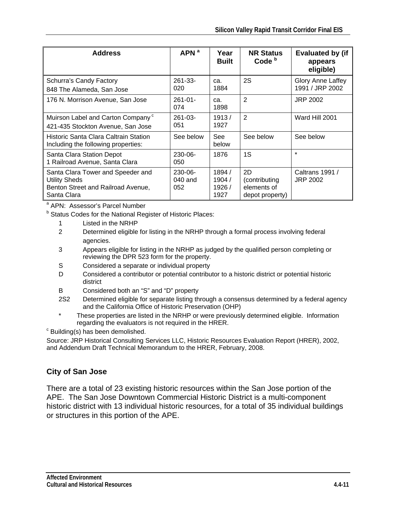| <b>Address</b>                                                                                                 | APN <sup>a</sup>                 | Year<br><b>Built</b>            | <b>NR Status</b><br>Code <sup>b</sup>                 | <b>Evaluated by (if</b><br>appears<br>eligible) |
|----------------------------------------------------------------------------------------------------------------|----------------------------------|---------------------------------|-------------------------------------------------------|-------------------------------------------------|
| Schurra's Candy Factory<br>848 The Alameda, San Jose                                                           | $261 - 33 -$<br>020              | ca.<br>1884                     | 2S                                                    | Glory Anne Laffey<br>1991 / JRP 2002            |
| 176 N. Morrison Avenue, San Jose                                                                               | $261 - 01 -$<br>074              | ca.<br>1898                     | $\overline{2}$                                        | <b>JRP 2002</b>                                 |
| Muirson Label and Carton Company <sup>c</sup><br>421-435 Stockton Avenue, San Jose                             | $261 - 03 -$<br>051              | 1913/<br>1927                   | 2                                                     | Ward Hill 2001                                  |
| Historic Santa Clara Caltrain Station<br>Including the following properties:                                   | See below                        | <b>See</b><br>below             | See below                                             | See below                                       |
| Santa Clara Station Depot<br>1 Railroad Avenue, Santa Clara                                                    | $230 - 06 -$<br>050              | 1876                            | 1S                                                    | $\star$                                         |
| Santa Clara Tower and Speeder and<br><b>Utility Sheds</b><br>Benton Street and Railroad Avenue,<br>Santa Clara | $230 - 06 -$<br>$040$ and<br>052 | 1894/<br>1904/<br>1926/<br>1927 | 2D<br>(contributing<br>elements of<br>depot property) | Caltrans 1991 /<br><b>JRP 2002</b>              |

<sup>a</sup> APN: Assessor's Parcel Number

**b** Status Codes for the National Register of Historic Places:

- 1 Listed in the NRHP
- 2 Determined eligible for listing in the NRHP through a formal process involving federal agencies.
- 3 Appears eligible for listing in the NRHP as judged by the qualified person completing or reviewing the DPR 523 form for the property.
- S Considered a separate or individual property
- D Considered a contributor or potential contributor to a historic district or potential historic district
- B Considered both an "S" and "D" property
- 2S2 Determined eligible for separate listing through a consensus determined by a federal agency and the California Office of Historic Preservation (OHP)
- \* These properties are listed in the NRHP or were previously determined eligible. Information regarding the evaluators is not required in the HRER.

 $c$  Building(s) has been demolished.

Source: JRP Historical Consulting Services LLC, Historic Resources Evaluation Report (HRER), 2002, and Addendum Draft Technical Memorandum to the HRER, February, 2008.

#### **City of San Jose**

There are a total of 23 existing historic resources within the San Jose portion of the APE. The San Jose Downtown Commercial Historic District is a multi-component historic district with 13 individual historic resources, for a total of 35 individual buildings or structures in this portion of the APE.